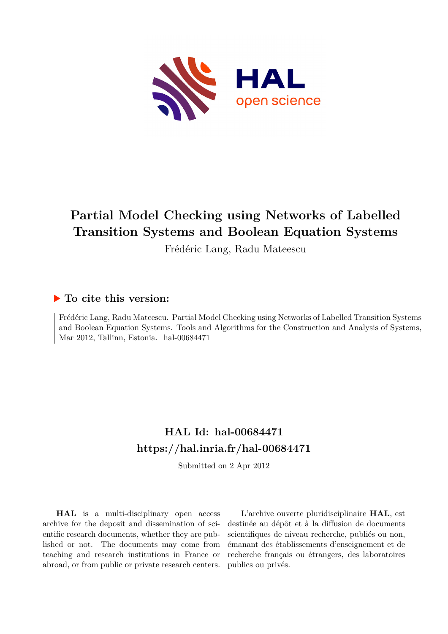

# **Partial Model Checking using Networks of Labelled Transition Systems and Boolean Equation Systems**

Frédéric Lang, Radu Mateescu

## **To cite this version:**

Frédéric Lang, Radu Mateescu. Partial Model Checking using Networks of Labelled Transition Systems and Boolean Equation Systems. Tools and Algorithms for the Construction and Analysis of Systems, Mar 2012, Tallinn, Estonia. hal-00684471

# **HAL Id: hal-00684471 <https://hal.inria.fr/hal-00684471>**

Submitted on 2 Apr 2012

**HAL** is a multi-disciplinary open access archive for the deposit and dissemination of scientific research documents, whether they are published or not. The documents may come from teaching and research institutions in France or abroad, or from public or private research centers.

L'archive ouverte pluridisciplinaire **HAL**, est destinée au dépôt et à la diffusion de documents scientifiques de niveau recherche, publiés ou non, émanant des établissements d'enseignement et de recherche français ou étrangers, des laboratoires publics ou privés.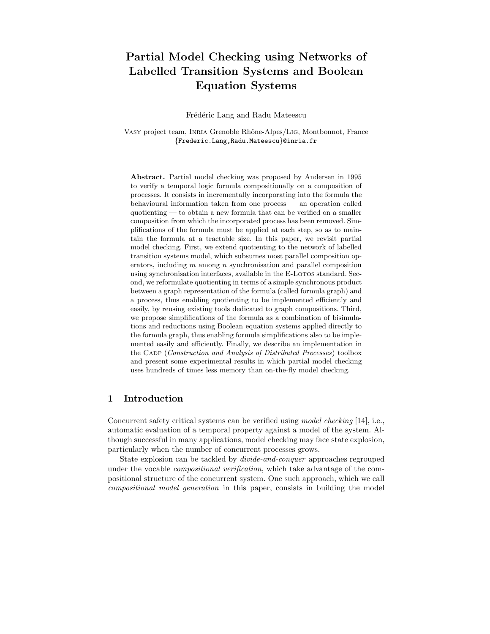## Partial Model Checking using Networks of Labelled Transition Systems and Boolean Equation Systems

Frédéric Lang and Radu Mateescu

VASY project team, INRIA Grenoble Rhône-Alpes/LIG, Montbonnot, France {Frederic.Lang,Radu.Mateescu}@inria.fr

Abstract. Partial model checking was proposed by Andersen in 1995 to verify a temporal logic formula compositionally on a composition of processes. It consists in incrementally incorporating into the formula the behavioural information taken from one process — an operation called quotienting — to obtain a new formula that can be verified on a smaller composition from which the incorporated process has been removed. Simplifications of the formula must be applied at each step, so as to maintain the formula at a tractable size. In this paper, we revisit partial model checking. First, we extend quotienting to the network of labelled transition systems model, which subsumes most parallel composition operators, including  $m$  among  $n$  synchronisation and parallel composition using synchronisation interfaces, available in the E-LOTOS standard. Second, we reformulate quotienting in terms of a simple synchronous product between a graph representation of the formula (called formula graph) and a process, thus enabling quotienting to be implemented efficiently and easily, by reusing existing tools dedicated to graph compositions. Third, we propose simplifications of the formula as a combination of bisimulations and reductions using Boolean equation systems applied directly to the formula graph, thus enabling formula simplifications also to be implemented easily and efficiently. Finally, we describe an implementation in the CADP (Construction and Analysis of Distributed Processes) toolbox and present some experimental results in which partial model checking uses hundreds of times less memory than on-the-fly model checking.

#### 1 Introduction

Concurrent safety critical systems can be verified using model checking [14], i.e., automatic evaluation of a temporal property against a model of the system. Although successful in many applications, model checking may face state explosion, particularly when the number of concurrent processes grows.

State explosion can be tackled by divide-and-conquer approaches regrouped under the vocable *compositional verification*, which take advantage of the compositional structure of the concurrent system. One such approach, which we call compositional model generation in this paper, consists in building the model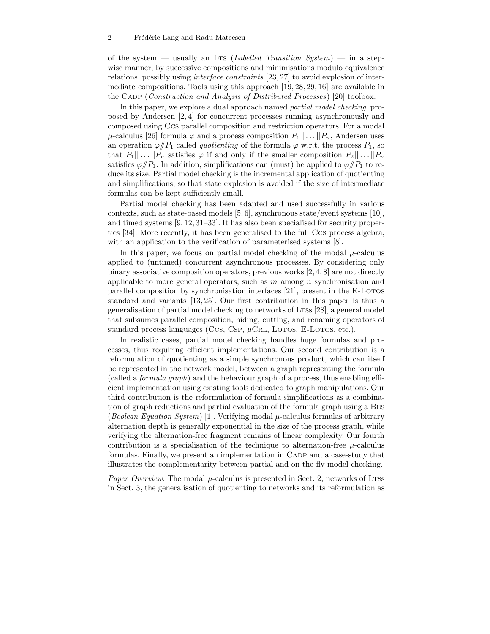#### 2 Frédéric Lang and Radu Mateescu

of the system — usually an LTS (*Labelled Transition System*) — in a stepwise manner, by successive compositions and minimisations modulo equivalence relations, possibly using interface constraints [23, 27] to avoid explosion of intermediate compositions. Tools using this approach [19, 28, 29, 16] are available in the CADP (*Construction and Analysis of Distributed Processes*) [20] toolbox.

In this paper, we explore a dual approach named partial model checking, proposed by Andersen [2, 4] for concurrent processes running asynchronously and composed using Ccs parallel composition and restriction operators. For a modal  $\mu$ -calculus [26] formula  $\varphi$  and a process composition  $P_1|| \dots ||P_n$ , Andersen uses an operation  $\varphi/\!\!/P_1$  called *quotienting* of the formula  $\varphi$  w.r.t. the process  $P_1$ , so that  $P_1|| \dots ||P_n$  satisfies  $\varphi$  if and only if the smaller composition  $P_2|| \dots ||P_n$ satisfies  $\varphi/\!\!/P_1$ . In addition, simplifications can (must) be applied to  $\varphi/\!\!/P_1$  to reduce its size. Partial model checking is the incremental application of quotienting and simplifications, so that state explosion is avoided if the size of intermediate formulas can be kept sufficiently small.

Partial model checking has been adapted and used successfully in various contexts, such as state-based models [5, 6], synchronous state/event systems [10], and timed systems [9, 12, 31–33]. It has also been specialised for security properties [34]. More recently, it has been generalised to the full Ccs process algebra, with an application to the verification of parameterised systems  $[8]$ .

In this paper, we focus on partial model checking of the modal  $\mu$ -calculus applied to (untimed) concurrent asynchronous processes. By considering only binary associative composition operators, previous works [2, 4, 8] are not directly applicable to more general operators, such as  $m$  among  $n$  synchronisation and parallel composition by synchronisation interfaces [21], present in the E-LOTOS standard and variants [13, 25]. Our first contribution in this paper is thus a generalisation of partial model checking to networks of Ltss [28], a general model that subsumes parallel composition, hiding, cutting, and renaming operators of standard process languages (Ccs, Csp,  $\mu$ CRL, LOTOS, E-LOTOS, etc.).

In realistic cases, partial model checking handles huge formulas and processes, thus requiring efficient implementations. Our second contribution is a reformulation of quotienting as a simple synchronous product, which can itself be represented in the network model, between a graph representing the formula (called a formula graph) and the behaviour graph of a process, thus enabling efficient implementation using existing tools dedicated to graph manipulations. Our third contribution is the reformulation of formula simplifications as a combination of graph reductions and partial evaluation of the formula graph using a Bes (*Boolean Equation System*) [1]. Verifying modal  $\mu$ -calculus formulas of arbitrary alternation depth is generally exponential in the size of the process graph, while verifying the alternation-free fragment remains of linear complexity. Our fourth contribution is a specialisation of the technique to alternation-free  $\mu$ -calculus formulas. Finally, we present an implementation in Cadp and a case-study that illustrates the complementarity between partial and on-the-fly model checking.

*Paper Overview.* The modal  $\mu$ -calculus is presented in Sect. 2, networks of LTSs in Sect. 3, the generalisation of quotienting to networks and its reformulation as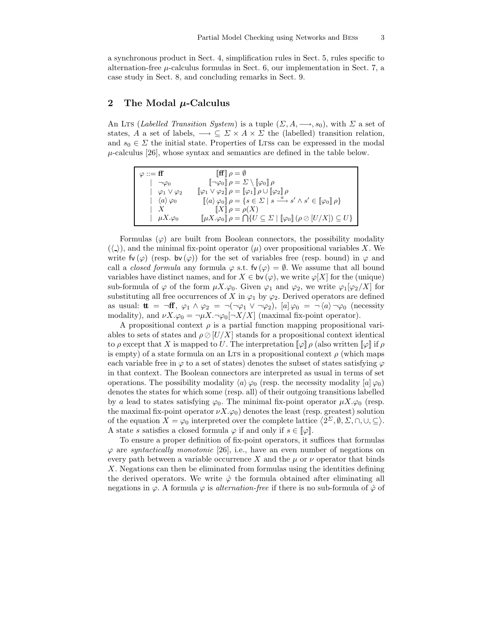a synchronous product in Sect. 4, simplification rules in Sect. 5, rules specific to alternation-free  $\mu$ -calculus formulas in Sect. 6, our implementation in Sect. 7, a case study in Sect. 8, and concluding remarks in Sect. 9.

### 2 The Modal  $\mu$ -Calculus

An Lts (Labelled Transition System) is a tuple  $(\Sigma, A, \longrightarrow, s_0)$ , with  $\Sigma$  a set of states, A a set of labels,  $\longrightarrow \subseteq \Sigma \times A \times \Sigma$  the (labelled) transition relation, and  $s_0 \in \Sigma$  the initial state. Properties of LTSs can be expressed in the modal  $\mu$ -calculus [26], whose syntax and semantics are defined in the table below.

| $\varphi ::= f f$             | $\mathbf{f} \mathbf{f} \parallel \rho = \emptyset$                                                                                                    |
|-------------------------------|-------------------------------------------------------------------------------------------------------------------------------------------------------|
| $\Box \varphi_0$              | $\llbracket \neg \varphi_0 \rrbracket \rho = \varSigma \setminus \llbracket \varphi_0 \rrbracket \rho$                                                |
| $\varphi_1 \vee \varphi_2$    | $\llbracket \varphi_1 \vee \varphi_2 \rrbracket \rho = \llbracket \varphi_1 \rrbracket \rho \cup \llbracket \varphi_2 \rrbracket \rho$                |
| $\langle a \rangle \varphi_0$ | $[\![(a) \varphi_0]\!] \rho = \{s \in \Sigma \mid s \xrightarrow{a} s' \wedge s' \in [\![(\varphi_0]\!] \rho\}$                                       |
| X                             | $  X   \rho = \rho(X)$                                                                                                                                |
| $\mu X.\varphi_0$             | $\llbracket \mu X.\varphi_0 \rrbracket \rho = \bigcap \{ U \subseteq \Sigma \mid \llbracket \varphi_0 \rrbracket (\rho \oslash [U/X]) \subseteq U \}$ |

Formulas  $(\varphi)$  are built from Boolean connectors, the possibility modality  $(\langle \rangle)$ , and the minimal fix-point operator  $(\mu)$  over propositional variables X. We write  $f(v(\varphi))$  (resp. bv $(\varphi)$ ) for the set of variables free (resp. bound) in  $\varphi$  and call a *closed formula* any formula  $\varphi$  s.t. fv  $(\varphi) = \emptyset$ . We assume that all bound variables have distinct names, and for  $X \in \mathsf{bv}(\varphi)$ , we write  $\varphi[X]$  for the (unique) sub-formula of  $\varphi$  of the form  $\mu X.\varphi_0$ . Given  $\varphi_1$  and  $\varphi_2$ , we write  $\varphi_1[\varphi_2/X]$  for substituting all free occurrences of X in  $\varphi_1$  by  $\varphi_2$ . Derived operators are defined as usual:  $\mathbf{t} = \neg \mathbf{f}, \varphi_1 \wedge \varphi_2 = \neg(\neg \varphi_1 \vee \neg \varphi_2), [a] \varphi_0 = \neg \langle a \rangle \neg \varphi_0$  (necessity modality), and  $\nu X.\varphi_0 = \neg \mu X.\neg \varphi_0[\neg X/X]$  (maximal fix-point operator).

A propositional context  $\rho$  is a partial function mapping propositional variables to sets of states and  $\rho \oslash [U/X]$  stands for a propositional context identical to ρ except that X is mapped to U. The interpretation  $\llbracket \varphi \rrbracket$  ρ (also written  $\llbracket \varphi \rrbracket$  if ρ is empty) of a state formula on an LTS in a propositional context  $\rho$  (which maps each variable free in  $\varphi$  to a set of states) denotes the subset of states satisfying  $\varphi$ in that context. The Boolean connectors are interpreted as usual in terms of set operations. The possibility modality  $\langle a \rangle \varphi_0$  (resp. the necessity modality  $[a] \varphi_0$ ) denotes the states for which some (resp. all) of their outgoing transitions labelled by a lead to states satisfying  $\varphi_0$ . The minimal fix-point operator  $\mu X.\varphi_0$  (resp. the maximal fix-point operator  $\nu X.\varphi_0$  denotes the least (resp. greatest) solution of the equation  $X = \varphi_0$  interpreted over the complete lattice  $\langle 2^{\Sigma}, \emptyset, \Sigma, \cap, \cup, \subseteq \rangle$ . A state s satisfies a closed formula  $\varphi$  if and only if  $s \in [\varphi]$ .

To ensure a proper definition of fix-point operators, it suffices that formulas  $\varphi$  are syntactically monotonic [26], i.e., have an even number of negations on every path between a variable occurrence X and the  $\mu$  or  $\nu$  operator that binds X. Negations can then be eliminated from formulas using the identities defining the derived operators. We write  $\hat{\varphi}$  the formula obtained after eliminating all negations in  $\varphi$ . A formula  $\varphi$  is *alternation-free* if there is no sub-formula of  $\hat{\varphi}$  of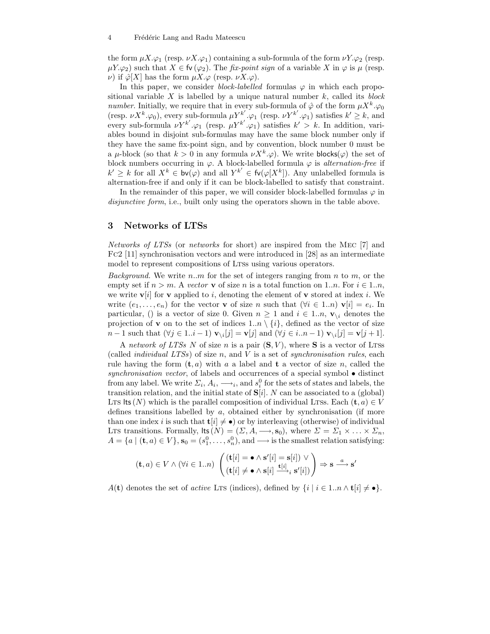the form  $\mu X.\varphi_1$  (resp.  $\nu X.\varphi_1$ ) containing a sub-formula of the form  $\nu Y.\varphi_2$  (resp.  $\mu Y.\varphi_2$ ) such that  $X \in \text{fv}(\varphi_2)$ . The *fix-point sign* of a variable X in  $\varphi$  is  $\mu$  (resp. ν) if  $\hat{\varphi}[X]$  has the form  $\mu X.\varphi$  (resp. νX. $\varphi$ ).

In this paper, we consider *block-labelled* formulas  $\varphi$  in which each propositional variable  $X$  is labelled by a unique natural number  $k$ , called its block number. Initially, we require that in every sub-formula of  $\hat{\varphi}$  of the form  $\mu X^k \cdot \varphi_0$ (resp.  $\nu X^k \cdot \varphi_0$ ), every sub-formula  $\mu Y^{k'} \cdot \varphi_1$  (resp.  $\nu Y^{k'} \cdot \varphi_1$ ) satisfies  $k' \geq k$ , and every sub-formula  $\nu Y^{k'} \cdot \varphi_1$  (resp.  $\mu Y^{k'} \cdot \varphi_1$ ) satisfies  $k' > k$ . In addition, variables bound in disjoint sub-formulas may have the same block number only if they have the same fix-point sign, and by convention, block number 0 must be a  $\mu$ -block (so that  $k > 0$  in any formula  $\nu X^k \cdot \varphi$ ). We write blocks( $\varphi$ ) the set of block numbers occurring in  $\varphi$ . A block-labelled formula  $\varphi$  is *alternation-free* if  $k' \geq k$  for all  $X^k$  ∈ bv $(\varphi)$  and all  $Y^{k'}$  ∈ fv $(\varphi[X^k])$ . Any unlabelled formula is alternation-free if and only if it can be block-labelled to satisfy that constraint.

In the remainder of this paper, we will consider block-labelled formulas  $\varphi$  in disjunctive form, i.e., built only using the operators shown in the table above.

### 3 Networks of LTSs

Networks of LTSs (or networks for short) are inspired from the Mec [7] and Fc2 [11] synchronisation vectors and were introduced in [28] as an intermediate model to represent compositions of LTSs using various operators.

*Background.* We write  $n \cdot m$  for the set of integers ranging from n to m, or the empty set if  $n > m$ . A vector **v** of size n is a total function on 1..n. For  $i \in 1..n$ , we write  $\mathbf{v}[i]$  for  $\mathbf{v}$  applied to i, denoting the element of  $\mathbf{v}$  stored at index i. We write  $(e_1, \ldots, e_n)$  for the vector **v** of size n such that  $(\forall i \in 1..n)$  **v**[i] = e<sub>i</sub>. In particular, () is a vector of size 0. Given  $n \geq 1$  and  $i \in 1..n$ ,  $\mathbf{v}_{\setminus i}$  denotes the projection of **v** on to the set of indices  $1..n \setminus \{i\}$ , defined as the vector of size  $n-1$  such that  $(\forall j \in 1..i-1)$   $\mathbf{v}_{\setminus i}[j] = \mathbf{v}[j]$  and  $(\forall j \in i..n-1)$   $\mathbf{v}_{\setminus i}[j] = \mathbf{v}[j+1]$ .

A network of LTSs N of size n is a pair  $(S, V)$ , where S is a vector of LTSs (called *individual LTSs*) of size n, and V is a set of *synchronisation rules*, each rule having the form  $(t, a)$  with a a label and t a vector of size n, called the synchronisation vector, of labels and occurrences of a special symbol  $\bullet$  distinct from any label. We write  $\Sigma_i$ ,  $A_i$ ,  $\longrightarrow_i$ , and  $s_i^0$  for the sets of states and labels, the transition relation, and the initial state of  $S[i]$ . N can be associated to a (global) LTS lts (N) which is the parallel composition of individual LTSs. Each  $(t, a) \in V$ defines transitions labelled by  $\alpha$ , obtained either by synchronisation (if more than one index i is such that  $\mathbf{t}[i] \neq \bullet$ ) or by interleaving (otherwise) of individual Lts transitions. Formally,  $\mathsf{lts}(N) = (\Sigma, A, \longrightarrow, \mathbf{s}_0)$ , where  $\Sigma = \Sigma_1 \times \ldots \times \Sigma_n$ ,  $A = \{a \mid (\mathbf{t}, a) \in V\}, \mathbf{s}_0 = (s_1^0, \dots, s_n^0), \text{and } \longrightarrow \text{is the smallest relation satisfying:}$ 

$$
(\mathbf{t}, a) \in V \land (\forall i \in 1..n) \left( \begin{matrix} (\mathbf{t}[i] = \bullet \land \mathbf{s'}[i] = \mathbf{s}[i]) \lor \\ (\mathbf{t}[i] \neq \bullet \land \mathbf{s}[i] \xrightarrow{\mathbf{t}[i]} \mathbf{s'}[i]) \end{matrix} \right) \Rightarrow \mathbf{s} \xrightarrow{a} \mathbf{s'}
$$

A(t) denotes the set of active LTS (indices), defined by  $\{i \mid i \in 1..n \wedge \mathbf{t}[i] \neq \bullet\}.$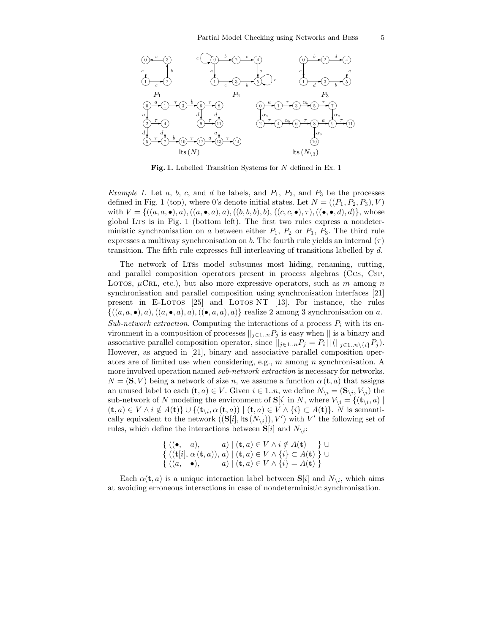

Fig. 1. Labelled Transition Systems for N defined in Ex. 1

Example 1. Let a, b, c, and d be labels, and  $P_1$ ,  $P_2$ , and  $P_3$  be the processes defined in Fig. 1 (top), where 0's denote initial states. Let  $N = ((P_1, P_2, P_3), V)$ with  $V = \{((a, a, \bullet), a), ((a, \bullet, a), a), ((b, b, b), b), ((c, c, \bullet), \tau), ((\bullet, \bullet, d), d)\}\text{, whose}$ global Lts is in Fig. 1 (bottom left). The first two rules express a nondeterministic synchronisation on a between either  $P_1$ ,  $P_2$  or  $P_1$ ,  $P_3$ . The third rule expresses a multiway synchronisation on b. The fourth rule yields an internal  $(\tau)$ transition. The fifth rule expresses full interleaving of transitions labelled by d.

The network of LTSs model subsumes most hiding, renaming, cutting, and parallel composition operators present in process algebras (Ccs, Csp, LOTOS,  $\mu$ CRL, etc.), but also more expressive operators, such as m among n synchronisation and parallel composition using synchronisation interfaces [21] present in E-Loros [25] and Loros NT [13]. For instance, the rules  $\{( (a, a, \bullet), a), ((a, \bullet, a), a), ((\bullet, a, a), a) \}$  realize 2 among 3 synchronisation on a. Sub-network extraction. Computing the interactions of a process  $P_i$  with its environment in a composition of processes  $||_{j\in 1..n}P_j$  is easy when  $||$  is a binary and associative parallel composition operator, since  $||_{j\in 1..n}P_j = P_i || (||_{j\in 1..n\setminus\{i\}}P_j).$ However, as argued in [21], binary and associative parallel composition operators are of limited use when considering, e.g., m among n synchronisation. A more involved operation named *sub-network extraction* is necessary for networks.  $N = (\mathbf{S}, V)$  being a network of size n, we assume a function  $\alpha(\mathbf{t}, a)$  that assigns an unused label to each  $(\mathbf{t}, a) \in V$ . Given  $i \in 1..n$ , we define  $N_{\setminus i} = (\mathbf{S}_{\setminus i}, V_{\setminus i})$  the sub-network of N modeling the environment of  $S[i]$  in N, where  $V_{\setminus i} = \{(\mathbf{t}_{\setminus i}, a) \mid$  $(\mathbf{t},a) \in V \wedge i \notin A(\mathbf{t})\} \cup \{(\mathbf{t}_{\setminus i}, \alpha(\mathbf{t},a)) \mid (\mathbf{t},a) \in V \wedge \{i\} \subset A(\mathbf{t})\}.$  N is semantically equivalent to the network  $((\mathbf{S}[i], \mathsf{Its}(N_{\setminus i})), V')$  with V' the following set of rules, which define the interactions between  $S[i]$  and  $N_{\setminus i}$ :

$$
\{ ((\bullet, \quad a), \quad a) \mid (\mathbf{t}, a) \in V \land i \notin A(\mathbf{t}) \} \cup \{ ((\mathbf{t}[i], \alpha(\mathbf{t}, a)), a) \mid (\mathbf{t}, a) \in V \land \{i\} \subset A(\mathbf{t}) \} \cup \{ ((a, \quad \bullet), \quad a) \mid (\mathbf{t}, a) \in V \land \{i\} = A(\mathbf{t}) \}
$$

Each  $\alpha(\mathbf{t}, a)$  is a unique interaction label between  $\mathbf{S}[i]$  and  $N_{\setminus i}$ , which aims at avoiding erroneous interactions in case of nondeterministic synchronisation.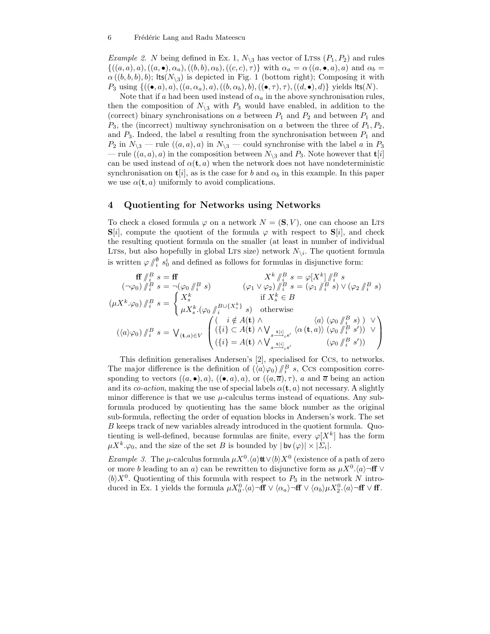*Example 2.* N being defined in Ex. 1,  $N_{\setminus 3}$  has vector of LTSs  $(P_1, P_2)$  and rules  $\{((a, a), a), ((a, \bullet), \alpha_a), ((b, b), \alpha_b), ((c, c), \tau)\}\$  with  $\alpha_a = \alpha((a, \bullet, a), a)$  and  $\alpha_b =$  $\alpha((b, b, b), b)$ ; lts $(N_{\setminus 3})$  is depicted in Fig. 1 (bottom right); Composing it with  $P_3$  using  $\{((\bullet, a), a), ((a, \alpha_a), a), ((b, \alpha_b), b), ((\bullet, \tau), \tau), ((d, \bullet), d)\}$  yields lts(N).

Note that if a had been used instead of  $\alpha_a$  in the above synchronisation rules, then the composition of  $N_{\setminus 3}$  with  $P_3$  would have enabled, in addition to the (correct) binary synchronisations on a between  $P_1$  and  $P_2$  and between  $P_1$  and  $P_3$ , the (incorrect) multiway synchronisation on a between the three of  $P_1, P_2$ , and  $P_3$ . Indeed, the label a resulting from the synchronisation between  $P_1$  and  $P_2$  in  $N_{\setminus 3}$  — rule  $((a, a), a)$  in  $N_{\setminus 3}$  — could synchronise with the label a in  $P_3$ — rule  $((a, a), a)$  in the composition between  $N_{\setminus 3}$  and  $P_3$ . Note however that  $\mathbf{t}[i]$ can be used instead of  $\alpha(t, a)$  when the network does not have nondeterministic synchronisation on  $\mathbf{t}[i]$ , as is the case for b and  $\alpha_b$  in this example. In this paper we use  $\alpha(\mathbf{t}, a)$  uniformly to avoid complications.

#### 4 Quotienting for Networks using Networks

To check a closed formula  $\varphi$  on a network  $N = (\mathbf{S}, V)$ , one can choose an LTS  $S[i]$ , compute the quotient of the formula  $\varphi$  with respect to  $S[i]$ , and check the resulting quotient formula on the smaller (at least in number of individual LTSs, but also hopefully in global LTS size) network  $N_{\setminus i}$ . The quotient formula is written  $\varphi/\!\!/_i^{\emptyset}$  s<sup>i</sup> and defined as follows for formulas in disjunctive form:

$$
\begin{aligned}\n\mathbf{f} \parallel_{i}^{B} s &= \mathbf{f} \qquad X^{k} \parallel_{i}^{B} s = \varphi[X^{k}] \parallel_{i}^{B} s \\
(\neg \varphi_{0}) \parallel_{i}^{B} s &= \neg (\varphi_{0} \parallel_{i}^{B} s) \qquad (\varphi_{1} \vee \varphi_{2}) \parallel_{i}^{B} s = (\varphi_{1} \parallel_{i}^{B} s) \vee (\varphi_{2} \parallel_{i}^{B} s) \\
(\mu X^{k} \cdot \varphi_{0}) \parallel_{i}^{B} s &= \begin{cases}\nX^{k} & \text{if } X^{k} \in B \\
\mu X^{k} \cdot (\varphi_{0} \parallel_{i}^{B} \cup \{X^{k}\} s) & \text{otherwise}\n\end{cases} \\
(\langle a \rangle \varphi_{0}) \parallel_{i}^{B} s &= \bigvee_{(\mathbf{t}, a) \in V} \begin{pmatrix}\n(\begin{array}{cc} i \notin A(\mathbf{t}) \land & \langle a \rangle \ (\varphi_{0} \parallel_{i}^{B} s) \end{array}) \lor \\
(\{i\} \subseteq A(\mathbf{t}) \land \bigvee_{s \in \mathbb{N}_{i} s'} \langle \alpha(\mathbf{t}, a) \rangle \ (\varphi_{0} \parallel_{i}^{B} s') \end{array}) \vee \\
(\langle a \rangle \varphi_{0} \parallel_{i}^{B} s')\n\end{pmatrix}\n\end{aligned}
$$

This definition generalises Andersen's [2], specialised for Ccs, to networks. The major difference is the definition of  $(\langle a \rangle \varphi_0) / \int_i^B s$ , Ccs composition corresponding to vectors  $((a, \bullet), a), ((\bullet, a), a),$  or  $((a, \overline{a}), \tau), a$  and  $\overline{a}$  being an action and its *co-action*, making the use of special labels  $\alpha(t, a)$  not necessary. A slightly minor difference is that we use  $\mu$ -calculus terms instead of equations. Any subformula produced by quotienting has the same block number as the original sub-formula, reflecting the order of equation blocks in Andersen's work. The set B keeps track of new variables already introduced in the quotient formula. Quotienting is well-defined, because formulas are finite, every  $\varphi[X^k]$  has the form  $\mu X^{k} \cdot \varphi_0$ , and the size of the set B is bounded by  $|\mathsf{bv}(\varphi)| \times |\Sigma_i|$ .

*Example 3.* The  $\mu$ -calculus formula  $\mu X^0 \cdot \langle a \rangle \mathbf{t} \vee \langle b \rangle X^0$  (existence of a path of zero or more b leading to an a) can be rewritten to disjunctive form as  $\mu X^{0} \cdot \langle a \rangle \neg \mathbf{ff} \vee$  $\langle b \rangle X^0$ . Quotienting of this formula with respect to  $P_3$  in the network N introduced in Ex. 1 yields the formula  $\mu X_0^0 \cdot \langle a \rangle \neg \mathbf{f} \lor \langle \alpha_a \rangle \neg \mathbf{f} \lor \langle \alpha_b \rangle \mu X_2^0 \cdot \langle a \rangle \neg \mathbf{f} \lor \mathbf{f}$ .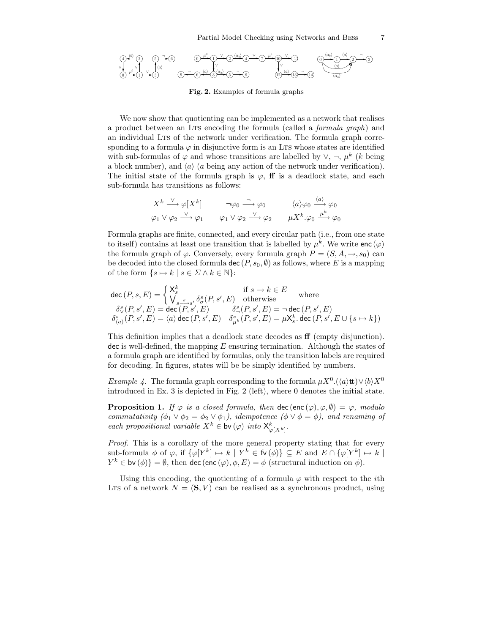

Fig. 2. Examples of formula graphs

We now show that quotienting can be implemented as a network that realises a product between an LTS encoding the formula (called a *formula graph*) and an individual Lts of the network under verification. The formula graph corresponding to a formula  $\varphi$  in disjunctive form is an LTS whose states are identified with sub-formulas of  $\varphi$  and whose transitions are labelled by  $\vee$ ,  $\neg$ ,  $\mu^k$  (k being a block number), and  $\langle a \rangle$  (a being any action of the network under verification). The initial state of the formula graph is  $\varphi$ , ff is a deadlock state, and each sub-formula has transitions as follows:

$$
X^k \xrightarrow{\vee} \varphi[X^k] \qquad \neg \varphi_0 \xrightarrow{\neg} \varphi_0 \qquad \langle a \rangle \varphi_0 \xrightarrow{\langle a \rangle} \varphi_0
$$
  

$$
\varphi_1 \lor \varphi_2 \xrightarrow{\vee} \varphi_1 \qquad \varphi_1 \lor \varphi_2 \xrightarrow{\vee} \varphi_2 \qquad \mu X^k \cdot \varphi_0 \xrightarrow{\mu^k} \varphi_0
$$

Formula graphs are finite, connected, and every circular path (i.e., from one state to itself) contains at least one transition that is labelled by  $\mu^{\dot{k}}$ . We write enc $(\varphi)$ the formula graph of  $\varphi$ . Conversely, every formula graph  $P = (S, A, \rightarrow, s_0)$  can be decoded into the closed formula  $\text{dec}(P, s_0, \emptyset)$  as follows, where E is a mapping of the form  $\{s \mapsto k \mid s \in \Sigma \wedge k \in \mathbb{N}\}$ :

$$
\begin{array}{ll} \mbox{dec\,}(P,s,E)= \begin{cases} \mathsf{X}^k_s & \mbox{if } s \mapsto k \in E \\ \bigvee_{s \ \sigma_{-s'} s'} \delta^s_\sigma(P,s',E) & \mbox{otherwise} \end{cases} \quad \mbox{where} \\ \delta^s_\vee(P,s',E)= \mbox{dec\,}(P,s',E) & \delta^s_\neg(P,s',E)= \neg \mbox{dec\,}(P,s',E) \\ \delta^s_{\langle a \rangle}(P,s',E)= \langle a \rangle \mbox{dec\,}(P,s',E) & \delta^s_{\mu^k}(P,s',E)= \mu \mathsf{X}^k_s \mbox{.dec\,}(P,s',E \cup \{s \mapsto k\}) \end{array}
$$

This definition implies that a deadlock state decodes as ff (empty disjunction). dec is well-defined, the mapping  $E$  ensuring termination. Although the states of a formula graph are identified by formulas, only the transition labels are required for decoding. In figures, states will be be simply identified by numbers.

*Example 4.* The formula graph corresponding to the formula  $\mu X^{0}$ . $(\langle a \rangle \mathbf{t}) \vee \langle b \rangle X^{0}$ introduced in Ex. 3 is depicted in Fig. 2 (left), where 0 denotes the initial state.

**Proposition 1.** If  $\varphi$  is a closed formula, then dec (enc  $(\varphi), \varphi, \emptyset$ ) =  $\varphi$ , modulo commutativity  $(\phi_1 \lor \phi_2 = \phi_2 \lor \phi_1)$ , idempotence  $(\phi \lor \phi = \phi)$ , and renaming of each propositional variable  $X^k \in \mathsf{bv}(\varphi)$  into  $\mathsf{X}^k_{\varphi[X^k]}$ .

Proof. This is a corollary of the more general property stating that for every sub-formula  $\phi$  of  $\varphi$ , if  $\{\varphi[Y^k] \mapsto k \mid Y^k \in \text{fv}(\phi)\} \subseteq E$  and  $E \cap \{\varphi[Y^k] \mapsto k \mid X^k \in E\}$  $Y^k \in \text{bv}(\phi)$  =  $\emptyset$ , then dec (enc  $(\varphi), \phi, E$ ) =  $\phi$  (structural induction on  $\phi$ ).

Using this encoding, the quotienting of a formula  $\varphi$  with respect to the *i*th LTS of a network  $N = (\mathbf{S}, V)$  can be realised as a synchronous product, using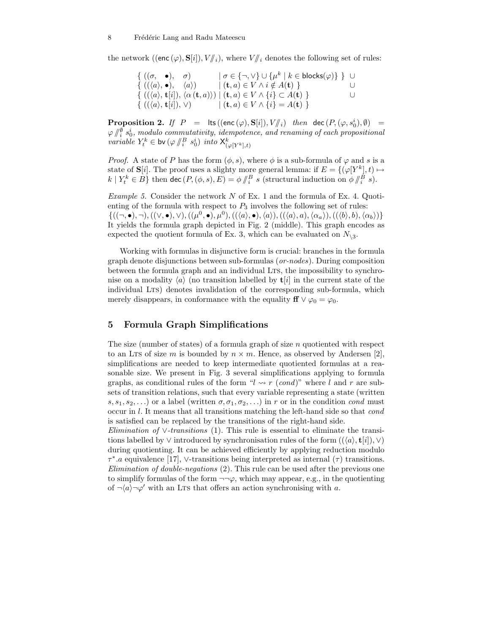the network ((enc  $(\varphi), \mathbf{S}[i], V/\!\!/_i$ ), where  $V/\!\!/_i$  denotes the following set of rules:

$$
\left\{ \begin{array}{ll} ((\sigma, \quad \bullet), \quad \sigma) & | \; \sigma \in \{\neg, \vee\} \cup \{\mu^k \mid k \in \mathsf{blocks}(\varphi)\} \; \} \; \cup \\ \{ \; ((\langle a \rangle, \bullet), \quad \langle a \rangle) & | \; (\mathbf{t}, a) \in V \land i \notin A(\mathbf{t}) \; \} & \cup \\ \{ \; ((\langle a \rangle, \mathbf{t}[i]), \langle \alpha \left( \mathbf{t}, a \right) \rangle) \mid (\mathbf{t}, a) \in V \land \{i\} \subset A(\mathbf{t}) \; \} & \cup \\ \{ \; ((\langle a \rangle, \mathbf{t}[i]), \vee) & | \; (\mathbf{t}, a) \in V \land \{i\} = A(\mathbf{t}) \; \} \end{array} \right.
$$

**Proposition 2.** If  $P =$  lts  $((\text{enc } (\varphi), \mathbf{S}[i]), V/\!\!/_{i})$  then  $\text{dec } (P, (\varphi, s^{i}_{0}), \emptyset) =$  $\varphi\, \mathbin{\textcolor{black}{\not}^{^\circ}}_i \, s^i_0, \, \textit{modulo commutativity}, \, \textit{idempotence}, \, \textit{and} \, \textit{renaming of each propositional}$ *variable*  $Y_t^k \in \mathsf{bv}\left(\varphi\left/\!\!/_{i}^B\right. s^i_0\right)$  *into*  $\mathsf{X}^k_{(\varphi[Y^k],t)}$ 

*Proof.* A state of P has the form  $(\phi, s)$ , where  $\phi$  is a sub-formula of  $\varphi$  and s is a state of  $S[i]$ . The proof uses a slighty more general lemma: if  $E = \{(\varphi[Y^k], t) \mapsto$  $k \mid Y_t^k \in B$  then dec  $(P, (\phi, s), E) = \phi \mid i \mid s$  (structural induction on  $\phi \mid i \mid s$ ).

Example 5. Consider the network  $N$  of Ex. 1 and the formula of Ex. 4. Quotienting of the formula with respect to  $P_3$  involves the following set of rules:  $\{((\neg,\bullet),\neg),((\vee,\bullet),\vee),((\mu^0,\bullet),\mu^0),((\langle a \rangle,\bullet),\langle a \rangle),((\langle a \rangle,a),\langle \alpha_a \rangle),((\langle b \rangle,b),\langle \alpha_b \rangle)\}$ It yields the formula graph depicted in Fig. 2 (middle). This graph encodes as expected the quotient formula of Ex. 3, which can be evaluated on  $N_{\setminus 3}$ .

Working with formulas in disjunctive form is crucial: branches in the formula graph denote disjunctions between sub-formulas (or-nodes). During composition between the formula graph and an individual LTs, the impossibility to synchronise on a modality  $\langle a \rangle$  (no transition labelled by  $\mathbf{t}[i]$  in the current state of the individual LTS) denotes invalidation of the corresponding sub-formula, which merely disappears, in conformance with the equality  $\mathbf{f} \mathbf{f} \vee \varphi_0 = \varphi_0$ .

#### 5 Formula Graph Simplifications

The size (number of states) of a formula graph of size  $n$  quotiented with respect to an LTS of size m is bounded by  $n \times m$ . Hence, as observed by Andersen [2], simplifications are needed to keep intermediate quotiented formulas at a reasonable size. We present in Fig. 3 several simplifications applying to formula graphs, as conditional rules of the form " $l \rightarrow r$  (cond)" where l and r are subsets of transition relations, such that every variable representing a state (written s,  $s_1, s_2, \ldots$ ) or a label (written  $\sigma, \sigma_1, \sigma_2, \ldots$ ) in r or in the condition cond must occur in l. It means that all transitions matching the left-hand side so that cond is satisfied can be replaced by the transitions of the right-hand side.

Elimination of  $\vee$ -transitions (1). This rule is essential to eliminate the transitions labelled by  $\vee$  introduced by synchronisation rules of the form  $((\langle a \rangle, \mathbf{t}[i], \vee)$ during quotienting. It can be achieved efficiently by applying reduction modulo  $\tau^*$ .a equivalence [17], ∨-transitions being interpreted as internal ( $\tau$ ) transitions. Elimination of double-negations (2). This rule can be used after the previous one to simplify formulas of the form  $\neg\neg\varphi$ , which may appear, e.g., in the quotienting of  $\neg \langle a \rangle \neg \varphi'$  with an LTs that offers an action synchronising with a.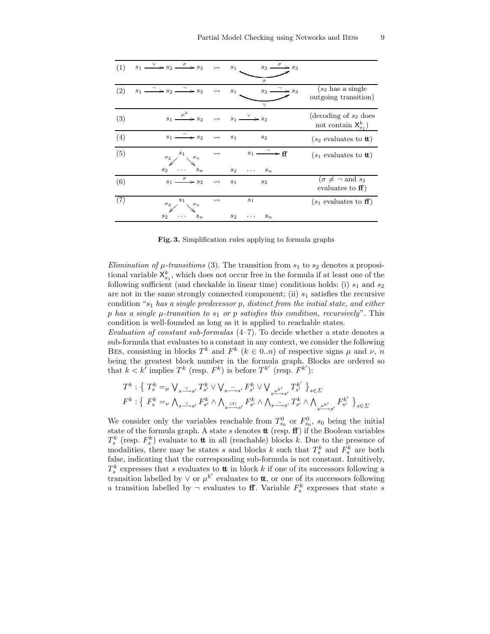| (1) | $s_1 \xrightarrow{\vee} s_2 \xrightarrow{\sigma} s_3 \rightsquigarrow s_1$    |                    |                          | $s_2 \xrightarrow{\sigma} s_3$             |                                                                |
|-----|-------------------------------------------------------------------------------|--------------------|--------------------------|--------------------------------------------|----------------------------------------------------------------|
| (2) | $s_1 \longrightarrow s_2 \longrightarrow s_3$                                 | $\rightsquigarrow$ | $\sqrt{s_{1}}$           | $\sigma$<br>$s_2$ -<br>$\rightarrow$ $s_3$ | $(s_2$ has a single<br>outgoing transition)                    |
| (3) | $s_1 \xrightarrow{\mu^k} s_2 \rightsquigarrow s_1 \xrightarrow{\vee} s_2$     |                    |                          |                                            | (decoding of $s_2$ does<br>not contain $X_{s_1}^k$ )           |
| (4) | $s_1 \longrightarrow s_2$                                                     |                    | $\rightsquigarrow$ $s_1$ | s <sub>2</sub>                             | $(s_2 \text{ evaluates to } \mathbf{t})$                       |
| (5) | $\begin{array}{ccccc}\n\sigma_2 & & & \nearrow & & \nearrow & \\ \end{array}$ |                    |                          | $s_1 \longrightarrow f f$                  | $(s_1$ evaluates to <b>tt</b> )                                |
|     | $s_2 \quad \ldots \quad s_n$                                                  |                    | $\frac{s_2}{}$           | $\ldots$<br>$s_n$                          |                                                                |
| (6) | $s_1 \xrightarrow{\sigma} s_2$                                                | $\rightsquigarrow$ | $s_1$                    | $s_2$                                      | $(\sigma \neq \neg \text{ and } s_2)$<br>evaluates to $f{f}$ ) |
| (7) | $s_1$<br>$\sqrt{\sigma_n}$<br>$\sigma_2$                                      | $\rightsquigarrow$ |                          | $s_1$                                      | $(s_1$ evaluates to $\mathbf{f}$                               |
|     | $S_n$<br>$s_2$<br>$\cdots$                                                    |                    | $s_2$                    | $s_n$                                      |                                                                |
|     |                                                                               |                    |                          |                                            |                                                                |

Fig. 3. Simplification rules applying to formula graphs

Elimination of  $\mu$ -transitions (3). The transition from  $s_1$  to  $s_2$  denotes a propositional variable  $\mathsf{X}_{s_1}^k$ , which does not occur free in the formula if at least one of the following sufficient (and checkable in linear time) conditions holds: (i)  $s_1$  and  $s_2$ are not in the same strongly connected component; (ii)  $s_1$  satisfies the recursive condition " $s_1$  has a single predecessor p, distinct from the initial state, and either p has a single  $\mu$ -transition to  $s_1$  or p satisfies this condition, recursively". This condition is well-founded as long as it is applied to reachable states.

Evaluation of constant sub-formulas (4–7). To decide whether a state denotes a sub-formula that evaluates to a constant in any context, we consider the following BES, consisting in blocks  $T^k$  and  $F^k$   $(k \in 0..n)$  of respective signs  $\mu$  and  $\nu$ ,  $n$ being the greatest block number in the formula graph. Blocks are ordered so that  $k < k'$  implies  $T^k$  (resp.  $F^k$ ) is before  $T^{k'}$  (resp.  $F^{k'}$ ):

$$
\begin{aligned} T^k: \big\{ \text{ } T^k_s = _\mu \bigvee_{s \text{ } \stackrel{\vee}{\longrightarrow} s'} T^k_{s'} \vee \bigvee_{s \text{ } \stackrel{\frown}{\longrightarrow} s'} F^{k}_{s'} \vee \bigvee_{s \text{ } \stackrel{\mu^{k'}}{\longrightarrow} s'} T^{k'}_{s'} \text{ } \big\}_{s \in \Sigma} \\ F^k: \big\{ \text{ } F^k_s = _\nu \bigwedge_{s \text{ } \stackrel{\vee}{\longrightarrow} s'} F^k_{s'} \wedge \bigwedge_{s \text{ } \stackrel{\langle \beta \rangle}{\longrightarrow} s'} F^{k}_{s'} \wedge \bigwedge_{s \text{ } \stackrel{\frown}{\longrightarrow} s'} T^{k}_{s'} \wedge \bigwedge_{s \text{ } \stackrel{\mu^{k'}}{\longrightarrow} s'} F^{k'}_{s'} \text{ } \big\}_{s \in \Sigma} \end{aligned}
$$

We consider only the variables reachable from  $T_{s_0}^0$  or  $F_{s_0}^0$ ,  $s_0$  being the initial state of the formula graph. A state  $s$  denotes  $t$ t (resp.  $f$ f) if the Boolean variables  $T_s^k$  (resp.  $F_s^k$ ) evaluate to **tt** in all (reachable) blocks k. Due to the presence of modalities, there may be states s and blocks k such that  $T_s^k$  and  $F_s^k$  are both false, indicating that the corresponding sub-formula is not constant. Intuitively,  $T_s^k$  expresses that s evaluates to **tt** in block k if one of its successors following a transition labelled by  $\vee$  or  $\mu^{k'}$  evaluates to **tt**, or one of its successors following a transition labelled by  $\neg$  evaluates to **ff**. Variable  $F_s^k$  expresses that state s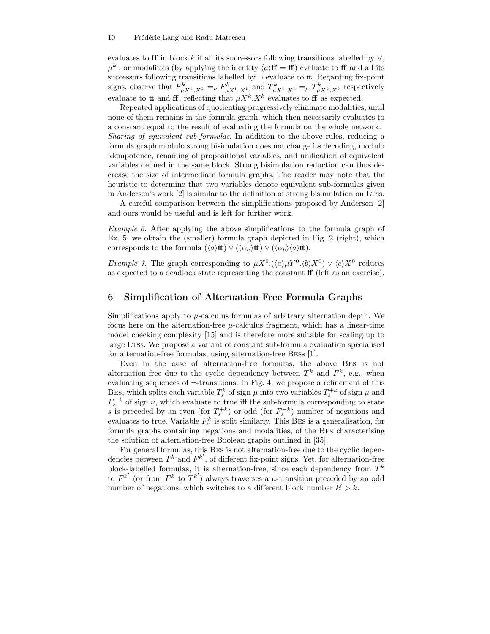evaluates to ff in block k if all its successors following transitions labelled by  $\vee$ ,  $\mu^{k'}$ , or modalities (by applying the identity  $\langle a \rangle \mathbf{ff} = \mathbf{ff}$ ) evaluate to  $\mathbf{ff}$  and all its successors following transitions labelled by  $\neg$  evaluate to **tt**. Regarding fix-point signs, observe that  $F_{\mu X^k.X^k}^k =_\nu F_{\mu X^k.X^k}^k$  and  $T_{\mu X^k.X^k}^k =_\mu T_{\mu X^k.X^k}^k$  respectively evaluate to **tt** and **ff**, reflecting that  $\mu X^k$ .  $X^k$  evaluates to **ff** as expected.

Repeated applications of quotienting progressively eliminate modalities, until none of them remains in the formula graph, which then necessarily evaluates to a constant equal to the result of evaluating the formula on the whole network. Sharing of equivalent sub-formulas. In addition to the above rules, reducing a formula graph modulo strong bisimulation does not change its decoding, modulo idempotence, renaming of propositional variables, and unification of equivalent variables defined in the same block. Strong bisimulation reduction can thus decrease the size of intermediate formula graphs. The reader may note that the heuristic to determine that two variables denote equivalent sub-formulas given in Andersen's work  $[2]$  is similar to the definition of strong bisimulation on LTss.

A careful comparison between the simplifications proposed by Andersen [2] and ours would be useful and is left for further work.

Example 6. After applying the above simplifications to the formula graph of Ex. 5, we obtain the (smaller) formula graph depicted in Fig. 2 (right), which corresponds to the formula  $(\langle a \rangle \mathbf{t}) \vee (\langle \alpha_a \rangle \mathbf{t}) \vee (\langle \alpha_b \rangle \langle a \rangle \mathbf{t}).$ 

*Example 7.* The graph corresponding to  $\mu X^{0}$ . $(\langle a \rangle \mu Y^{0} \cdot \langle b \rangle X^{0}) \vee \langle c \rangle X^{0}$  reduces as expected to a deadlock state representing the constant ff (left as an exercise).

#### 6 Simplification of Alternation-Free Formula Graphs

Simplifications apply to  $\mu$ -calculus formulas of arbitrary alternation depth. We focus here on the alternation-free  $\mu$ -calculus fragment, which has a linear-time model checking complexity [15] and is therefore more suitable for scaling up to large Ltss. We propose a variant of constant sub-formula evaluation specialised for alternation-free formulas, using alternation-free Bess [1].

Even in the case of alternation-free formulas, the above Bes is not alternation-free due to the cyclic dependency between  $T^k$  and  $F^k$ , e.g., when evaluating sequences of  $\neg$ -transitions. In Fig. 4, we propose a refinement of this BES, which splits each variable  $T_s^k$  of sign  $\mu$  into two variables  $T_s^{+k}$  of sign  $\mu$  and  $F_s^{-k}$  of sign  $\nu$ , which evaluate to true iff the sub-formula corresponding to state s is preceded by an even (for  $T_s^{+k}$ ) or odd (for  $F_s^{-k}$ ) number of negations and evaluates to true. Variable  $F_s^k$  is split similarly. This BES is a generalisation, for formula graphs containing negations and modalities, of the Bes characterising the solution of alternation-free Boolean graphs outlined in [35].

For general formulas, this Bes is not alternation-free due to the cyclic dependencies between  $T^k$  and  $F^{k'}$ , of different fix-point signs. Yet, for alternation-free block-labelled formulas, it is alternation-free, since each dependency from  $T<sup>k</sup>$ to  $F^{k'}$  (or from  $F^k$  to  $T^{k'}$ ) always traverses a  $\mu$ -transition preceded by an odd number of negations, which switches to a different block number  $k' > k$ .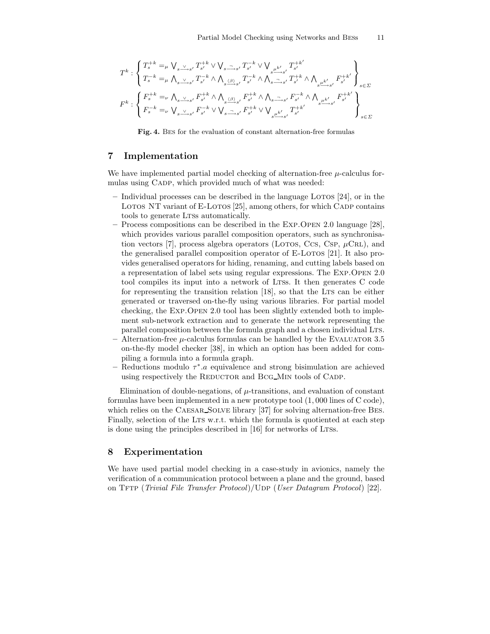$$
T^k: \left\{ \begin{aligned} &T_s^{+k} =_{\mu} \bigvee_{s \, \searrow_{s s^\prime}} T_{s^\prime}^{+k} \vee \bigvee_{s \, \supset_{s s^\prime}} T_{s^\prime}^{-k} \vee \bigvee_{s \, \supset_{s^\prime}^{k^\prime_{s^\prime}}} T_{s^\prime}^{+k^\prime} \\ &T_s^{-k} =_{\mu} \bigwedge_{s \, \searrow_{s s^\prime}} T_{s^\prime}^{-k} \wedge \bigwedge_{s \, \stackrel{(\beta)}{\longrightarrow}_{s^\prime}} T_{s^\prime}^{-k} \wedge \bigwedge_{s \, \supset_{s^\prime}^{k^\prime_{s^\prime}}} T_{s^\prime}^{+k} \wedge \bigwedge_{s \, \stackrel{(\mu k^\prime)}{\longrightarrow}_{s^\prime}} F_{s^\prime}^{+k^\prime} \bigg\} \right\}_{s \in \varSigma} \\ &F^k: \left\{ \begin{aligned} &F_s^{+k} =_{\nu} \bigwedge_{s \, \searrow_{s s^\prime}} F_{s^\prime}^{+k} \wedge \bigwedge_{s \, \stackrel{(\beta)}{\longrightarrow}_{s^\prime}} F_{s^\prime}^{+k} \wedge \bigwedge_{s \, \supset_{s s^\prime}} F_{s^\prime}^{-k} \wedge \bigwedge_{s \, \stackrel{(\mu k^\prime)}{\longrightarrow}_{s^\prime}} F_{s^\prime}^{+k^\prime} \bigvee \bigwedge_{s \, \stackrel{(\mu k^\prime)}{\longrightarrow}_{s^\prime}} T_{s^\prime}^{+k^\prime} \end{aligned} \right\}_{s \in \varSigma} \end{aligned}
$$

Fig. 4. Bes for the evaluation of constant alternation-free formulas

#### 7 Implementation

We have implemented partial model checking of alternation-free  $\mu$ -calculus formulas using CADP, which provided much of what was needed:

- $-$  Individual processes can be described in the language LOTOS  $[24]$ , or in the LOTOS NT variant of E-LOTOS [25], among others, for which CADP contains tools to generate LTSs automatically.
- Process compositions can be described in the Exp.Open 2.0 language [28], which provides various parallel composition operators, such as synchronisation vectors [7], process algebra operators (LOTOS, CCS, CSP,  $\mu$ CRL), and the generalised parallel composition operator of E-Loros [21]. It also provides generalised operators for hiding, renaming, and cutting labels based on a representation of label sets using regular expressions. The Exp.Open 2.0 tool compiles its input into a network of LTSs. It then generates C code for representing the transition relation  $[18]$ , so that the LTs can be either generated or traversed on-the-fly using various libraries. For partial model checking, the Exp.Open 2.0 tool has been slightly extended both to implement sub-network extraction and to generate the network representing the parallel composition between the formula graph and a chosen individual LTS.
- Alternation-free  $\mu$ -calculus formulas can be handled by the EVALUATOR 3.5 on-the-fly model checker [38], in which an option has been added for compiling a formula into a formula graph.
- $-$  Reductions modulo  $\tau^*$ . a equivalence and strong bisimulation are achieved using respectively the REDUCTOR and BCG\_MIN tools of CADP.

Elimination of double-negations, of  $\mu$ -transitions, and evaluation of constant formulas have been implemented in a new prototype tool (1, 000 lines of C code), which relies on the CAESAR\_SOLVE library [37] for solving alternation-free BES. Finally, selection of the LTS w.r.t. which the formula is quotiented at each step is done using the principles described in [16] for networks of LTSs.

#### 8 Experimentation

We have used partial model checking in a case-study in avionics, namely the verification of a communication protocol between a plane and the ground, based on TFTP (Trivial File Transfer Protocol)/UDP (User Datagram Protocol) [22].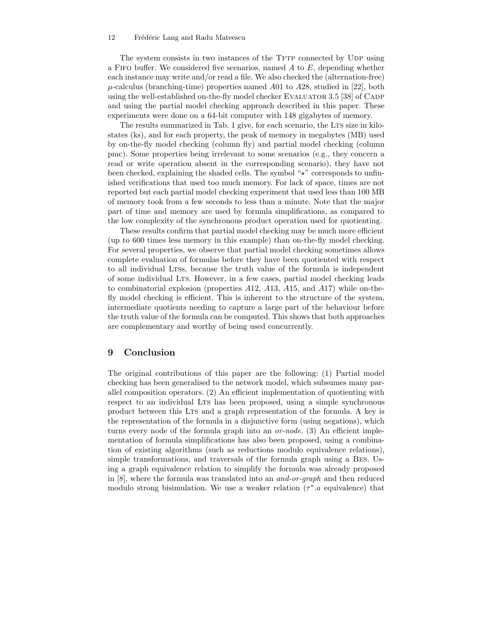#### 12 Frédéric Lang and Radu Mateescu

The system consists in two instances of the TFTP connected by UDP using a FIFO buffer. We considered five scenarios, named  $A$  to  $E$ , depending whether each instance may write and/or read a file. We also checked the (alternation-free)  $\mu$ -calculus (branching-time) properties named A01 to A28, studied in [22], both using the well-established on-the-fly model checker EVALUATOR 3.5 [38] of CADP and using the partial model checking approach described in this paper. These experiments were done on a 64-bit computer with 148 gigabytes of memory.

The results summarized in Tab. 1 give, for each scenario, the LTS size in kilostates (ks), and for each property, the peak of memory in megabytes (MB) used by on-the-fly model checking (column fly) and partial model checking (column pmc). Some properties being irrelevant to some scenarios (e.g., they concern a read or write operation absent in the corresponding scenario), they have not been checked, explaining the shaded cells. The symbol  $\forall x$ " corresponds to unfinished verifications that used too much memory. For lack of space, times are not reported but each partial model checking experiment that used less than 100 MB of memory took from a few seconds to less than a minute. Note that the major part of time and memory are used by formula simplifications, as compared to the low complexity of the synchronous product operation used for quotienting.

These results confirm that partial model checking may be much more efficient (up to 600 times less memory in this example) than on-the-fly model checking. For several properties, we observe that partial model checking sometimes allows complete evaluation of formulas before they have been quotiented with respect to all individual Ltss, because the truth value of the formula is independent of some individual Lts. However, in a few cases, partial model checking leads to combinatorial explosion (properties A12, A13, A15, and A17) while on-thefly model checking is efficient. This is inherent to the structure of the system, intermediate quotients needing to capture a large part of the behaviour before the truth value of the formula can be computed. This shows that both approaches are complementary and worthy of being used concurrently.

#### 9 Conclusion

The original contributions of this paper are the following: (1) Partial model checking has been generalised to the network model, which subsumes many parallel composition operators. (2) An efficient implementation of quotienting with respect to an individual Lts has been proposed, using a simple synchronous product between this Lts and a graph representation of the formula. A key is the representation of the formula in a disjunctive form (using negations), which turns every node of the formula graph into an  $or-node.$  (3) An efficient implementation of formula simplifications has also been proposed, using a combination of existing algorithms (such as reductions modulo equivalence relations), simple transformations, and traversals of the formula graph using a Bes. Using a graph equivalence relation to simplify the formula was already proposed in [8], where the formula was translated into an and-or-graph and then reduced modulo strong bisimulation. We use a weaker relation  $(\tau^* . a$  equivalence) that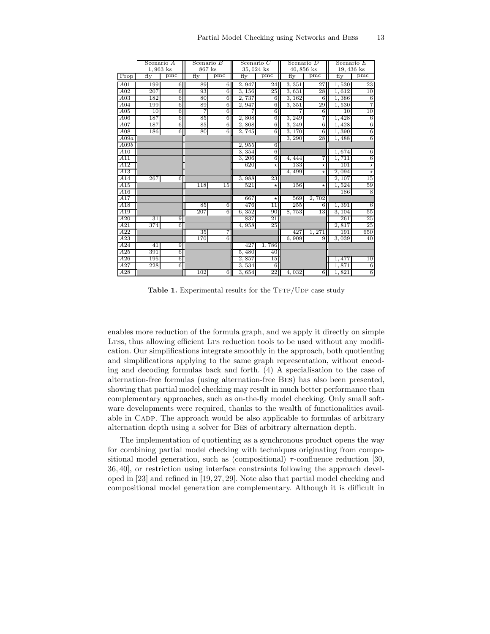|                  | Scenario A |              | Scenario $B$ |              | Scenario $C$       |                 | Scenario $D$ |              | Scenario $E$ |                 |  |
|------------------|------------|--------------|--------------|--------------|--------------------|-----------------|--------------|--------------|--------------|-----------------|--|
|                  | 1,963 ks   |              | 867 ks       |              |                    | 35,024 ks       |              | 40,856 ks    |              | 19,436 ks       |  |
| Prop             | fly        | $_{\rm pmc}$ | fly          | $_{\rm pmc}$ | $\overline{f}$ $f$ | $_{\rm pmc}$    | fly          | $_{\rm pmc}$ | $f_{\rm IV}$ | pmc             |  |
| A01              | 199        | 6            | 89           | 6            | 2,947              | 24              | 3,351        | 27           | 1,530        | 23              |  |
| A02              | 207        | 6            | 93           | 6            | 3,156              | 25              | 3,631        | 28           | 1,612        | 10              |  |
| A03              | 182        | 6            | 80           | 6            | 2,737              | 6               | 3,162        | 6            | 1,386        | $6\overline{6}$ |  |
| A04              | 199        | 6            | 89           | 6            | 2,947              | 6               | 3,351        | 29           | 1,530        | 7               |  |
| A05              | 10         | 6            | 7            | 6            | 7                  | 6               | 7            | 6            | 10           | 10              |  |
| A06              | 187        | 6            | 85           | 6            | 2,808              | $6\phantom{.}6$ | 3,249        | 7            | 1,428        | $6\phantom{1}6$ |  |
| A07              | 187        | 6            | 85           | 6            | 2,808              | 6               | 3,249        | 6            | 1,428        | $\overline{6}$  |  |
| A08              | 186        | 6            | 80           | 6            | 2,745              | 6               | 3,170        | 6            | 1,390        | 6               |  |
| A09a             |            |              |              |              |                    |                 | 3,290        | 28           | 1,488        | $\overline{6}$  |  |
| A09b             |            |              |              |              | 2,955              | 6               |              |              |              |                 |  |
| A10              |            |              |              |              | 3,354              | 6               |              |              | 1,674        | 6               |  |
| A11              |            |              |              |              | 3,206              | $\,6\,$         | 4,444        | 7            | 1,711        | $6\phantom{.}6$ |  |
| A12              |            |              |              |              | 620                | $\star$         | 133          | $\star$      | 101          | $\star$         |  |
| A <sub>13</sub>  |            |              |              |              |                    |                 | 4,499        | $\star$      | 2,094        | $\star$         |  |
| A14              | 267        | 6            |              |              | 3,988              | 23              |              |              | 2, 107       | 15              |  |
| A15              |            |              | 118          | 15           | 521                | $\star$         | 156          | $^\star$     | 1,524        | 59              |  |
| A16              |            |              |              |              |                    |                 |              |              | 186          | 8               |  |
| A17              |            |              |              |              | 667                | $\star$         | 569          | 2,702        |              |                 |  |
| A <sub>18</sub>  |            |              | 85           | 6            | 476                | 11              | 255          | 6            | 1,391        | 6               |  |
| A <sub>19</sub>  |            |              | 207          | 6            | 6,352              | 90              | 8,753        | 13           | 3,104        | 55              |  |
| A20              | 31         | 9            |              |              | 837                | 21              |              |              | 261          | 25              |  |
| A21              | 374        | 6            |              |              | 4,958              | 25              |              |              | 2,817        | 25              |  |
| $\overline{A22}$ |            |              | 35           | 7            |                    |                 | 427          | 1,271        | 191          | 650             |  |
| A23              |            |              | 170          | 6            |                    |                 | 6,909        | 9            | 3,039        | 40              |  |
| A24              | 41         | 9            |              |              | 427                | 1,786           |              |              |              |                 |  |
| A25              | 391        | 6            |              |              | 5,480              | 40              |              |              |              |                 |  |
| A26              | 195        | 6            |              |              | 2,857              | 15              |              |              | 1,477        | 10              |  |
| A27              | 228        | 6            |              |              | 3,534              | 6               |              |              | 1,871        | $6\overline{6}$ |  |
| A28              |            |              | 102          | 6            | 3,654              | 22              | 4,032        | 6            | 1,821        | $\overline{6}$  |  |

Table 1. Experimental results for the TFTP/UDP case study

enables more reduction of the formula graph, and we apply it directly on simple LTSs, thus allowing efficient LTS reduction tools to be used without any modification. Our simplifications integrate smoothly in the approach, both quotienting and simplifications applying to the same graph representation, without encoding and decoding formulas back and forth. (4) A specialisation to the case of alternation-free formulas (using alternation-free Bes) has also been presented, showing that partial model checking may result in much better performance than complementary approaches, such as on-the-fly model checking. Only small software developments were required, thanks to the wealth of functionalities available in CADP. The approach would be also applicable to formulas of arbitrary alternation depth using a solver for Bes of arbitrary alternation depth.

The implementation of quotienting as a synchronous product opens the way for combining partial model checking with techniques originating from compositional model generation, such as (compositional)  $\tau$ -confluence reduction [30, 36, 40], or restriction using interface constraints following the approach developed in [23] and refined in [19, 27, 29]. Note also that partial model checking and compositional model generation are complementary. Although it is difficult in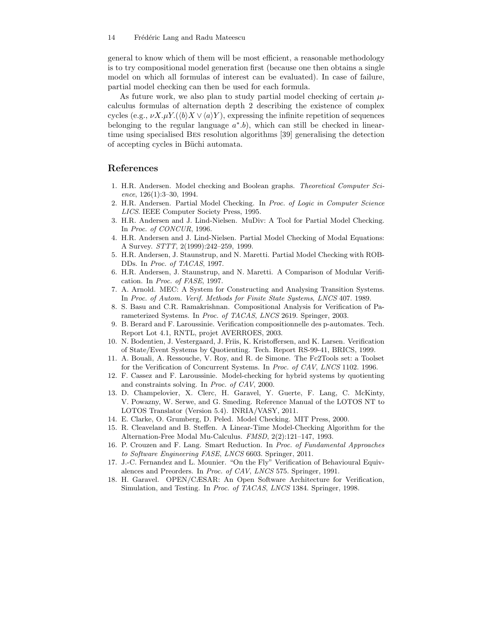14 Frédéric Lang and Radu Mateescu

general to know which of them will be most efficient, a reasonable methodology is to try compositional model generation first (because one then obtains a single model on which all formulas of interest can be evaluated). In case of failure, partial model checking can then be used for each formula.

As future work, we also plan to study partial model checking of certain  $\mu$ calculus formulas of alternation depth 2 describing the existence of complex cycles (e.g.,  $\nu X.\mu Y.(\langle b \rangle X \vee \langle a \rangle Y)$ , expressing the infinite repetition of sequences belonging to the regular language  $a^* \cdot b$ , which can still be checked in lineartime using specialised Bes resolution algorithms [39] generalising the detection of accepting cycles in Büchi automata.

#### References

- 1. H.R. Andersen. Model checking and Boolean graphs. Theoretical Computer Science, 126(1):3–30, 1994.
- 2. H.R. Andersen. Partial Model Checking. In Proc. of Logic in Computer Science LICS. IEEE Computer Society Press, 1995.
- 3. H.R. Andersen and J. Lind-Nielsen. MuDiv: A Tool for Partial Model Checking. In Proc. of CONCUR, 1996.
- 4. H.R. Andersen and J. Lind-Nielsen. Partial Model Checking of Modal Equations: A Survey. STTT, 2(1999):242–259, 1999.
- 5. H.R. Andersen, J. Staunstrup, and N. Maretti. Partial Model Checking with ROB-DDs. In Proc. of TACAS, 1997.
- 6. H.R. Andersen, J. Staunstrup, and N. Maretti. A Comparison of Modular Verification. In Proc. of FASE, 1997.
- 7. A. Arnold. MEC: A System for Constructing and Analysing Transition Systems. In Proc. of Autom. Verif. Methods for Finite State Systems, LNCS 407. 1989.
- 8. S. Basu and C.R. Ramakrishnan. Compositional Analysis for Verification of Parameterized Systems. In Proc. of TACAS, LNCS 2619. Springer, 2003.
- 9. B. Berard and F. Laroussinie. Verification compositionnelle des p-automates. Tech. Report Lot 4.1, RNTL, projet AVERROES, 2003.
- 10. N. Bodentien, J. Vestergaard, J. Friis, K. Kristoffersen, and K. Larsen. Verification of State/Event Systems by Quotienting. Tech. Report RS-99-41, BRICS, 1999.
- 11. A. Bouali, A. Ressouche, V. Roy, and R. de Simone. The Fc2Tools set: a Toolset for the Verification of Concurrent Systems. In Proc. of CAV, LNCS 1102. 1996.
- 12. F. Cassez and F. Laroussinie. Model-checking for hybrid systems by quotienting and constraints solving. In Proc. of CAV, 2000.
- 13. D. Champelovier, X. Clerc, H. Garavel, Y. Guerte, F. Lang, C. McKinty, V. Powazny, W. Serwe, and G. Smeding. Reference Manual of the LOTOS NT to LOTOS Translator (Version 5.4). INRIA/VASY, 2011.
- 14. E. Clarke, O. Grumberg, D. Peled. Model Checking. MIT Press, 2000.
- 15. R. Cleaveland and B. Steffen. A Linear-Time Model-Checking Algorithm for the Alternation-Free Modal Mu-Calculus. FMSD, 2(2):121–147, 1993.
- 16. P. Crouzen and F. Lang. Smart Reduction. In Proc. of Fundamental Approaches to Software Engineering FASE, LNCS 6603. Springer, 2011.
- 17. J.-C. Fernandez and L. Mounier. "On the Fly" Verification of Behavioural Equivalences and Preorders. In Proc. of CAV, LNCS 575. Springer, 1991.
- 18. H. Garavel. OPEN/CÆSAR: An Open Software Architecture for Verification, Simulation, and Testing. In Proc. of TACAS, LNCS 1384. Springer, 1998.